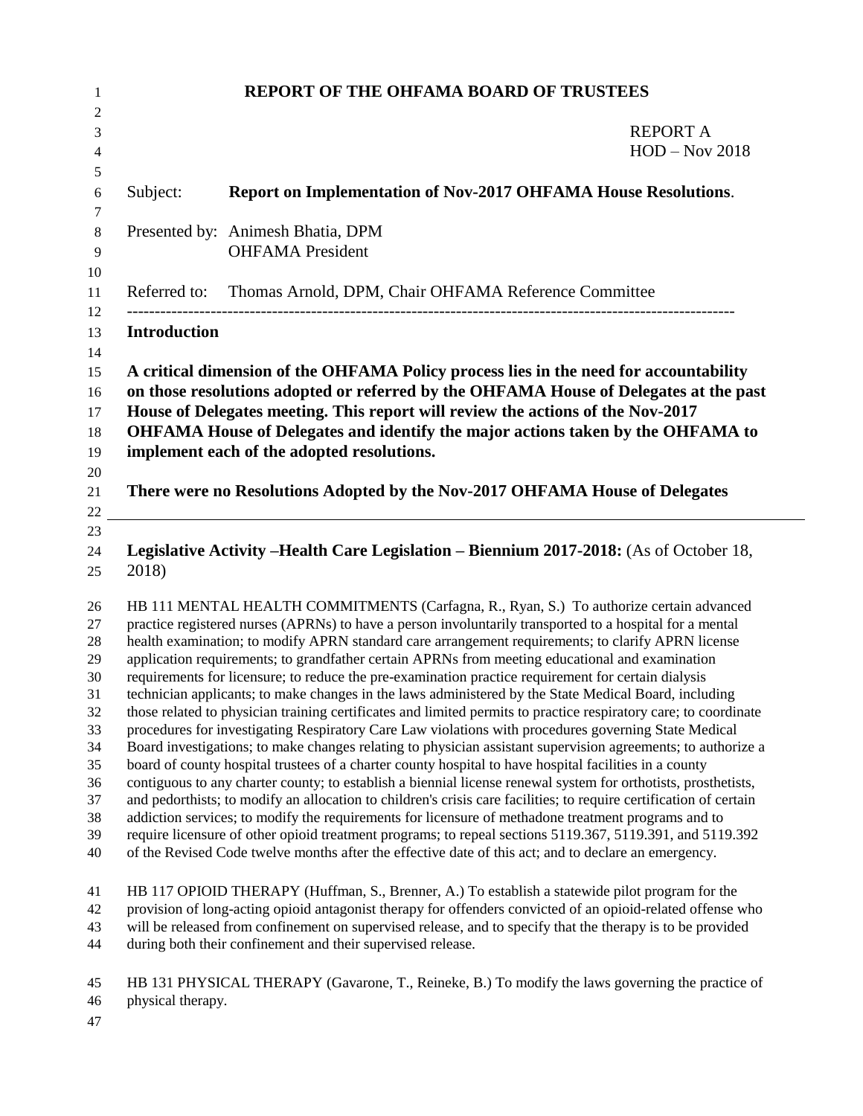| <b>REPORT OF THE OHFAMA BOARD OF TRUSTEES</b> |                                                                                                                                                                                                                                                                                                                                                                                                                                                                                                                                                                                                                                                                                                                                                                                                                                                                                                                                                                                                                                                                                                                                                                                                                                                                                                                                                                                                                                                                                                                                                                                                                                                        |                                     |
|-----------------------------------------------|--------------------------------------------------------------------------------------------------------------------------------------------------------------------------------------------------------------------------------------------------------------------------------------------------------------------------------------------------------------------------------------------------------------------------------------------------------------------------------------------------------------------------------------------------------------------------------------------------------------------------------------------------------------------------------------------------------------------------------------------------------------------------------------------------------------------------------------------------------------------------------------------------------------------------------------------------------------------------------------------------------------------------------------------------------------------------------------------------------------------------------------------------------------------------------------------------------------------------------------------------------------------------------------------------------------------------------------------------------------------------------------------------------------------------------------------------------------------------------------------------------------------------------------------------------------------------------------------------------------------------------------------------------|-------------------------------------|
|                                               |                                                                                                                                                                                                                                                                                                                                                                                                                                                                                                                                                                                                                                                                                                                                                                                                                                                                                                                                                                                                                                                                                                                                                                                                                                                                                                                                                                                                                                                                                                                                                                                                                                                        | <b>REPORT A</b><br>$HOD - Nov 2018$ |
| Subject:                                      | <b>Report on Implementation of Nov-2017 OHFAMA House Resolutions.</b>                                                                                                                                                                                                                                                                                                                                                                                                                                                                                                                                                                                                                                                                                                                                                                                                                                                                                                                                                                                                                                                                                                                                                                                                                                                                                                                                                                                                                                                                                                                                                                                  |                                     |
|                                               | Presented by: Animesh Bhatia, DPM<br><b>OHFAMA</b> President                                                                                                                                                                                                                                                                                                                                                                                                                                                                                                                                                                                                                                                                                                                                                                                                                                                                                                                                                                                                                                                                                                                                                                                                                                                                                                                                                                                                                                                                                                                                                                                           |                                     |
| Referred to:                                  | Thomas Arnold, DPM, Chair OHFAMA Reference Committee                                                                                                                                                                                                                                                                                                                                                                                                                                                                                                                                                                                                                                                                                                                                                                                                                                                                                                                                                                                                                                                                                                                                                                                                                                                                                                                                                                                                                                                                                                                                                                                                   |                                     |
| <b>Introduction</b>                           |                                                                                                                                                                                                                                                                                                                                                                                                                                                                                                                                                                                                                                                                                                                                                                                                                                                                                                                                                                                                                                                                                                                                                                                                                                                                                                                                                                                                                                                                                                                                                                                                                                                        |                                     |
|                                               | A critical dimension of the OHFAMA Policy process lies in the need for accountability<br>on those resolutions adopted or referred by the OHFAMA House of Delegates at the past<br>House of Delegates meeting. This report will review the actions of the Nov-2017<br>OHFAMA House of Delegates and identify the major actions taken by the OHFAMA to<br>implement each of the adopted resolutions.<br>There were no Resolutions Adopted by the Nov-2017 OHFAMA House of Delegates                                                                                                                                                                                                                                                                                                                                                                                                                                                                                                                                                                                                                                                                                                                                                                                                                                                                                                                                                                                                                                                                                                                                                                      |                                     |
| 2018)                                         | Legislative Activity - Health Care Legislation - Biennium 2017-2018: (As of October 18,                                                                                                                                                                                                                                                                                                                                                                                                                                                                                                                                                                                                                                                                                                                                                                                                                                                                                                                                                                                                                                                                                                                                                                                                                                                                                                                                                                                                                                                                                                                                                                |                                     |
|                                               | HB 111 MENTAL HEALTH COMMITMENTS (Carfagna, R., Ryan, S.) To authorize certain advanced<br>practice registered nurses (APRNs) to have a person involuntarily transported to a hospital for a mental<br>health examination; to modify APRN standard care arrangement requirements; to clarify APRN license<br>application requirements; to grandfather certain APRNs from meeting educational and examination<br>requirements for licensure; to reduce the pre-examination practice requirement for certain dialysis<br>technician applicants; to make changes in the laws administered by the State Medical Board, including<br>those related to physician training certificates and limited permits to practice respiratory care; to coordinate<br>procedures for investigating Respiratory Care Law violations with procedures governing State Medical<br>Board investigations; to make changes relating to physician assistant supervision agreements; to authorize a<br>board of county hospital trustees of a charter county hospital to have hospital facilities in a county<br>contiguous to any charter county; to establish a biennial license renewal system for orthotists, prosthetists,<br>and pedorthists; to modify an allocation to children's crisis care facilities; to require certification of certain<br>addiction services; to modify the requirements for licensure of methadone treatment programs and to<br>require licensure of other opioid treatment programs; to repeal sections 5119.367, 5119.391, and 5119.392<br>of the Revised Code twelve months after the effective date of this act; and to declare an emergency. |                                     |
|                                               | HB 117 OPIOID THERAPY (Huffman, S., Brenner, A.) To establish a statewide pilot program for the<br>provision of long-acting opioid antagonist therapy for offenders convicted of an opioid-related offense who<br>will be released from confinement on supervised release, and to specify that the therapy is to be provided<br>during both their confinement and their supervised release.                                                                                                                                                                                                                                                                                                                                                                                                                                                                                                                                                                                                                                                                                                                                                                                                                                                                                                                                                                                                                                                                                                                                                                                                                                                            |                                     |
|                                               | HB 131 PHYSICAL THERAPY (Gavarone, T., Reineke, B.) To modify the laws governing the practice of                                                                                                                                                                                                                                                                                                                                                                                                                                                                                                                                                                                                                                                                                                                                                                                                                                                                                                                                                                                                                                                                                                                                                                                                                                                                                                                                                                                                                                                                                                                                                       |                                     |

- physical therapy.
-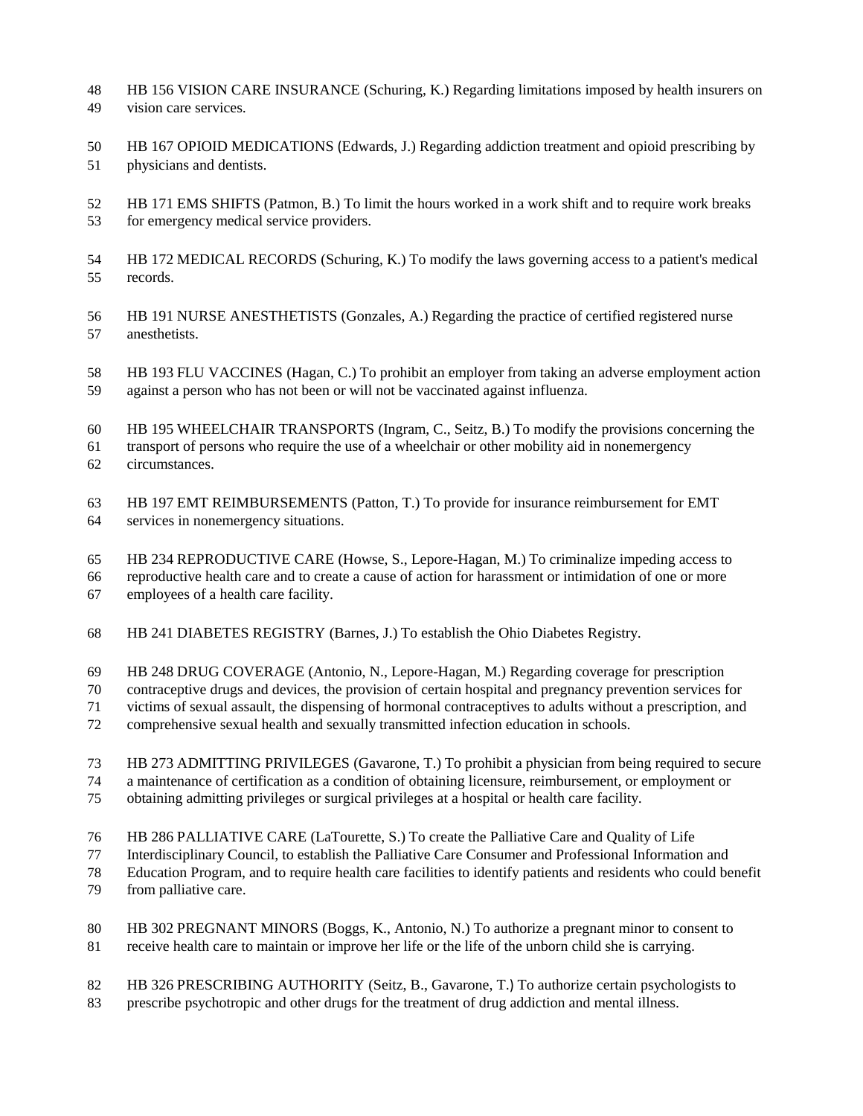- HB 156 VISION CARE INSURANCE (Schuring, K.) Regarding limitations imposed by health insurers on vision care services.
- HB 167 OPIOID MEDICATIONS (Edwards, J.) Regarding addiction treatment and opioid prescribing by physicians and dentists.
- HB 171 EMS SHIFTS (Patmon, B.) To limit the hours worked in a work shift and to require work breaks for emergency medical service providers.
- HB 172 MEDICAL RECORDS (Schuring, K.) To modify the laws governing access to a patient's medical records.
- HB 191 NURSE ANESTHETISTS (Gonzales, A.) Regarding the practice of certified registered nurse anesthetists.
- HB 193 FLU VACCINES (Hagan, C.) To prohibit an employer from taking an adverse employment action against a person who has not been or will not be vaccinated against influenza.
- HB 195 WHEELCHAIR TRANSPORTS (Ingram, C., Seitz, B.) To modify the provisions concerning the transport of persons who require the use of a wheelchair or other mobility aid in nonemergency circumstances.
- 
- HB 197 EMT REIMBURSEMENTS (Patton, T.) To provide for insurance reimbursement for EMT services in nonemergency situations.
- HB 234 REPRODUCTIVE CARE (Howse, S., Lepore-Hagan, M.) To criminalize impeding access to
- reproductive health care and to create a cause of action for harassment or intimidation of one or more employees of a health care facility.
- HB 241 DIABETES REGISTRY (Barnes, J.) To establish the Ohio Diabetes Registry.
- HB 248 DRUG COVERAGE (Antonio, N., Lepore-Hagan, M.) Regarding coverage for prescription
- contraceptive drugs and devices, the provision of certain hospital and pregnancy prevention services for
- victims of sexual assault, the dispensing of hormonal contraceptives to adults without a prescription, and
- comprehensive sexual health and sexually transmitted infection education in schools.
- HB 273 ADMITTING PRIVILEGES (Gavarone, T.) To prohibit a physician from being required to secure
- a maintenance of certification as a condition of obtaining licensure, reimbursement, or employment or
- obtaining admitting privileges or surgical privileges at a hospital or health care facility.
- HB 286 PALLIATIVE CARE (LaTourette, S.) To create the Palliative Care and Quality of Life
- Interdisciplinary Council, to establish the Palliative Care Consumer and Professional Information and
- Education Program, and to require health care facilities to identify patients and residents who could benefit
- from palliative care.
- HB 302 PREGNANT MINORS (Boggs, K., Antonio, N.) To authorize a pregnant minor to consent to receive health care to maintain or improve her life or the life of the unborn child she is carrying.
- HB 326 PRESCRIBING AUTHORITY (Seitz, B., Gavarone, T.) To authorize certain psychologists to
- prescribe psychotropic and other drugs for the treatment of drug addiction and mental illness.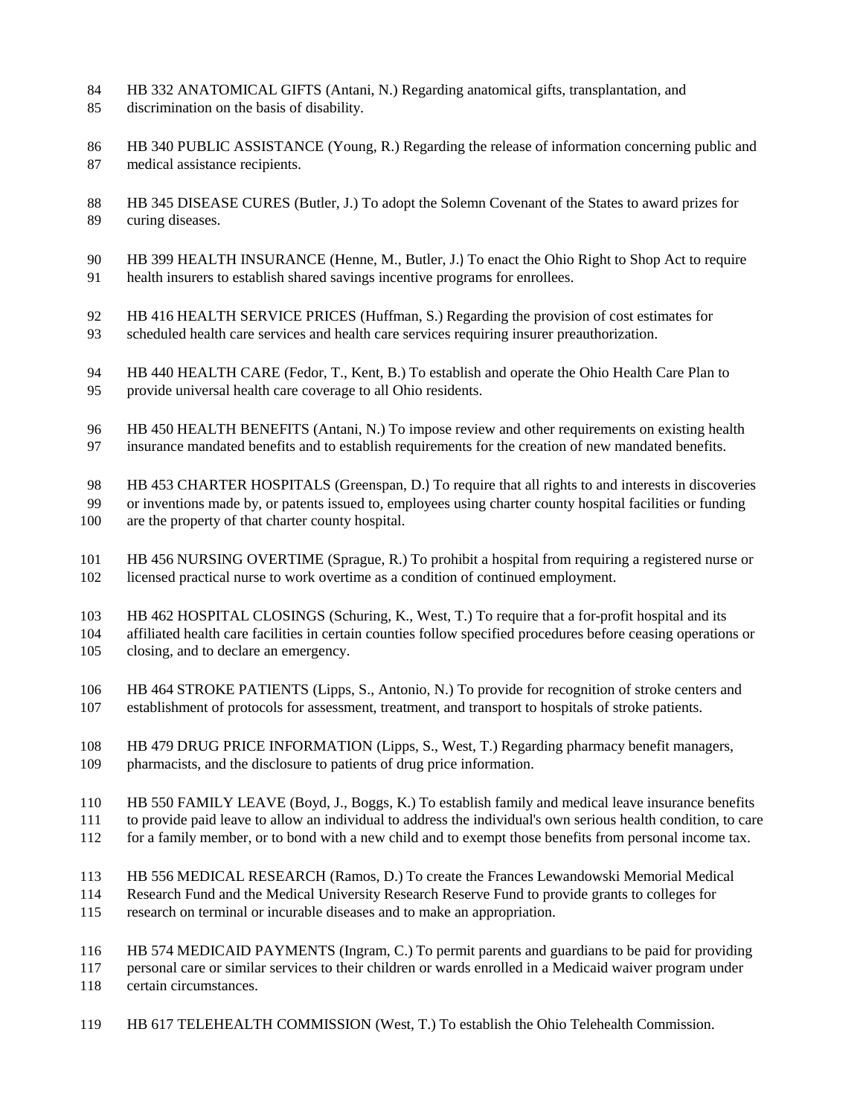- HB 332 ANATOMICAL GIFTS (Antani, N.) Regarding anatomical gifts, transplantation, and discrimination on the basis of disability.
- HB 340 PUBLIC ASSISTANCE (Young, R.) Regarding the release of information concerning public and medical assistance recipients.
- HB 345 DISEASE CURES (Butler, J.) To adopt the Solemn Covenant of the States to award prizes for curing diseases.
- HB 399 HEALTH INSURANCE (Henne, M., Butler, J.) To enact the Ohio Right to Shop Act to require health insurers to establish shared savings incentive programs for enrollees.
- HB 416 HEALTH SERVICE PRICES (Huffman, S.) Regarding the provision of cost estimates for
- scheduled health care services and health care services requiring insurer preauthorization.
- HB 440 HEALTH CARE (Fedor, T., Kent, B.) To establish and operate the Ohio Health Care Plan to provide universal health care coverage to all Ohio residents.
- HB 450 HEALTH BENEFITS (Antani, N.) To impose review and other requirements on existing health insurance mandated benefits and to establish requirements for the creation of new mandated benefits.
- HB 453 CHARTER HOSPITALS (Greenspan, D.) To require that all rights to and interests in discoveries
- or inventions made by, or patents issued to, employees using charter county hospital facilities or funding
- are the property of that charter county hospital.
- HB 456 NURSING OVERTIME (Sprague, R.) To prohibit a hospital from requiring a registered nurse or licensed practical nurse to work overtime as a condition of continued employment.
- HB 462 HOSPITAL CLOSINGS (Schuring, K., West, T.) To require that a for-profit hospital and its affiliated health care facilities in certain counties follow specified procedures before ceasing operations or closing, and to declare an emergency.
- HB 464 STROKE PATIENTS (Lipps, S., Antonio, N.) To provide for recognition of stroke centers and establishment of protocols for assessment, treatment, and transport to hospitals of stroke patients.
- HB 479 DRUG PRICE INFORMATION (Lipps, S., West, T.) Regarding pharmacy benefit managers, pharmacists, and the disclosure to patients of drug price information.
- HB 550 FAMILY LEAVE (Boyd, J., Boggs, K.) To establish family and medical leave insurance benefits
- to provide paid leave to allow an individual to address the individual's own serious health condition, to care
- for a family member, or to bond with a new child and to exempt those benefits from personal income tax.
- HB 556 MEDICAL RESEARCH (Ramos, D.) To create the Frances Lewandowski Memorial Medical
- Research Fund and the Medical University Research Reserve Fund to provide grants to colleges for
- research on terminal or incurable diseases and to make an appropriation.
- HB 574 MEDICAID PAYMENTS (Ingram, C.) To permit parents and guardians to be paid for providing
- personal care or similar services to their children or wards enrolled in a Medicaid waiver program under certain circumstances.
- HB 617 TELEHEALTH COMMISSION (West, T.) To establish the Ohio Telehealth Commission.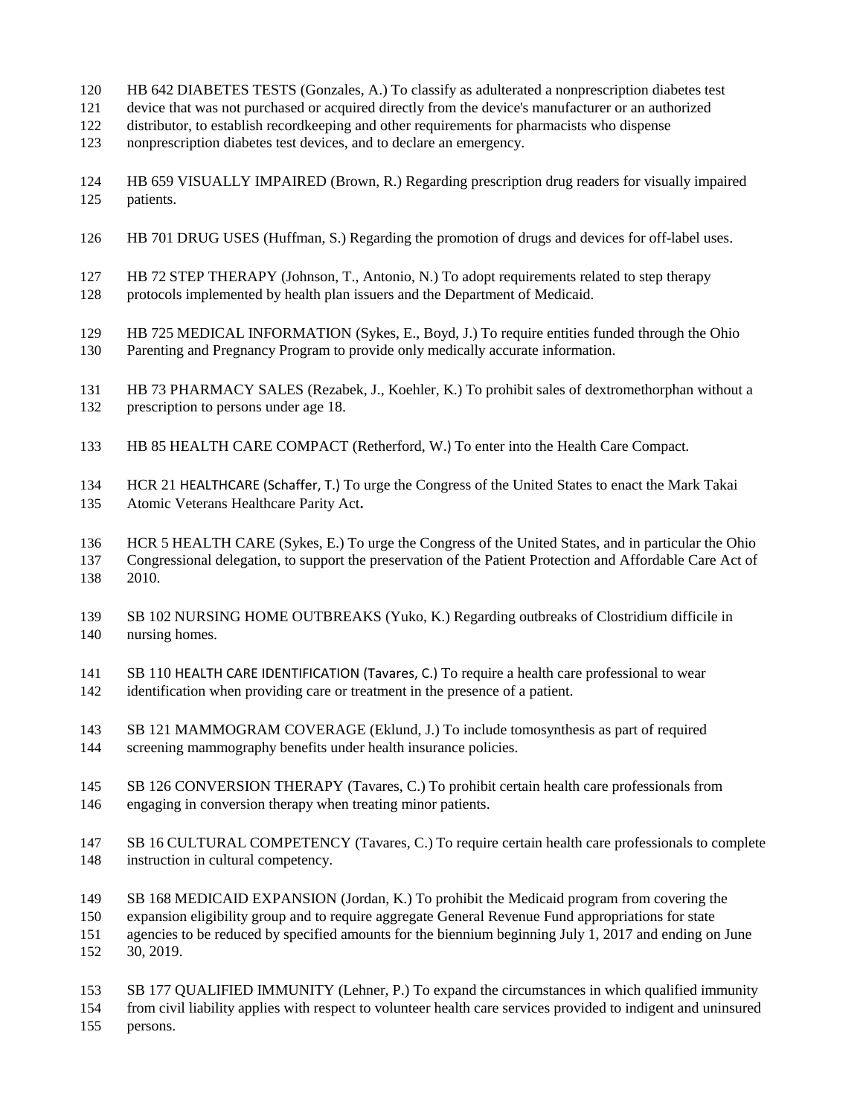- HB 642 DIABETES TESTS (Gonzales, A.) To classify as adulterated a nonprescription diabetes test
- device that was not purchased or acquired directly from the device's manufacturer or an authorized
- distributor, to establish recordkeeping and other requirements for pharmacists who dispense
- nonprescription diabetes test devices, and to declare an emergency.
- HB 659 VISUALLY IMPAIRED (Brown, R.) Regarding prescription drug readers for visually impaired patients.
- HB 701 DRUG USES (Huffman, S.) Regarding the promotion of drugs and devices for off-label uses.
- HB 72 STEP THERAPY (Johnson, T., Antonio, N.) To adopt requirements related to step therapy protocols implemented by health plan issuers and the Department of Medicaid.
- HB 725 MEDICAL INFORMATION (Sykes, E., Boyd, J.) To require entities funded through the Ohio Parenting and Pregnancy Program to provide only medically accurate information.
- HB 73 PHARMACY SALES (Rezabek, J., Koehler, K.) To prohibit sales of dextromethorphan without a prescription to persons under age 18.
- HB 85 HEALTH CARE COMPACT (Retherford, W.) To enter into the Health Care Compact.
- HCR 21 HEALTHCARE (Schaffer, T.) To urge the Congress of the United States to enact the Mark Takai Atomic Veterans Healthcare Parity Act**.**
- HCR 5 HEALTH CARE (Sykes, E.) To urge the Congress of the United States, and in particular the Ohio Congressional delegation, to support the preservation of the Patient Protection and Affordable Care Act of 2010.
- SB 102 NURSING HOME OUTBREAKS (Yuko, K.) Regarding outbreaks of Clostridium difficile in nursing homes.
- SB 110 HEALTH CARE IDENTIFICATION (Tavares, C.) To require a health care professional to wear identification when providing care or treatment in the presence of a patient.
- SB 121 MAMMOGRAM COVERAGE (Eklund, J.) To include tomosynthesis as part of required screening mammography benefits under health insurance policies.
- SB 126 CONVERSION THERAPY (Tavares, C.) To prohibit certain health care professionals from engaging in conversion therapy when treating minor patients.
- SB 16 CULTURAL COMPETENCY (Tavares, C.) To require certain health care professionals to complete instruction in cultural competency.
- SB 168 MEDICAID EXPANSION (Jordan, K.) To prohibit the Medicaid program from covering the expansion eligibility group and to require aggregate General Revenue Fund appropriations for state
- agencies to be reduced by specified amounts for the biennium beginning July 1, 2017 and ending on June
- 30, 2019.
- SB 177 QUALIFIED IMMUNITY (Lehner, P.) To expand the circumstances in which qualified immunity from civil liability applies with respect to volunteer health care services provided to indigent and uninsured
- persons.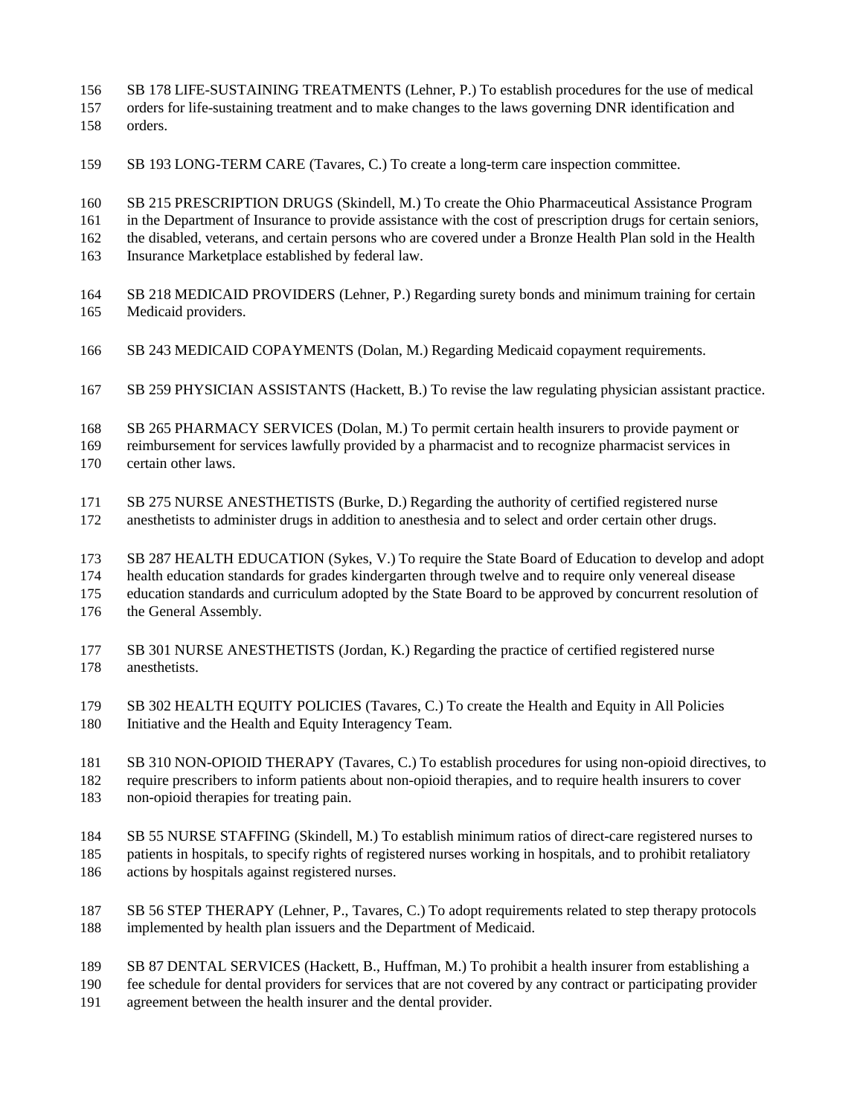SB 178 LIFE-SUSTAINING TREATMENTS (Lehner, P.) To establish procedures for the use of medical

 orders for life-sustaining treatment and to make changes to the laws governing DNR identification and orders.

SB 193 LONG-TERM CARE (Tavares, C.) To create a long-term care inspection committee.

 SB 215 PRESCRIPTION DRUGS (Skindell, M.) To create the Ohio Pharmaceutical Assistance Program in the Department of Insurance to provide assistance with the cost of prescription drugs for certain seniors, the disabled, veterans, and certain persons who are covered under a Bronze Health Plan sold in the Health Insurance Marketplace established by federal law.

- SB 218 MEDICAID PROVIDERS (Lehner, P.) Regarding surety bonds and minimum training for certain Medicaid providers.
- SB 243 MEDICAID COPAYMENTS (Dolan, M.) Regarding Medicaid copayment requirements.
- SB 259 PHYSICIAN ASSISTANTS (Hackett, B.) To revise the law regulating physician assistant practice.
- SB 265 PHARMACY SERVICES (Dolan, M.) To permit certain health insurers to provide payment or

 reimbursement for services lawfully provided by a pharmacist and to recognize pharmacist services in certain other laws.

- SB 275 NURSE ANESTHETISTS (Burke, D.) Regarding the authority of certified registered nurse anesthetists to administer drugs in addition to anesthesia and to select and order certain other drugs.
- SB 287 HEALTH EDUCATION (Sykes, V.) To require the State Board of Education to develop and adopt
- health education standards for grades kindergarten through twelve and to require only venereal disease

education standards and curriculum adopted by the State Board to be approved by concurrent resolution of

- the General Assembly.
- SB 301 NURSE ANESTHETISTS (Jordan, K.) Regarding the practice of certified registered nurse anesthetists.
- SB 302 HEALTH EQUITY POLICIES (Tavares, C.) To create the Health and Equity in All Policies Initiative and the Health and Equity Interagency Team.

 SB 310 NON-OPIOID THERAPY (Tavares, C.) To establish procedures for using non-opioid directives, to require prescribers to inform patients about non-opioid therapies, and to require health insurers to cover non-opioid therapies for treating pain.

- SB 55 NURSE STAFFING (Skindell, M.) To establish minimum ratios of direct-care registered nurses to patients in hospitals, to specify rights of registered nurses working in hospitals, and to prohibit retaliatory actions by hospitals against registered nurses.
- SB 56 STEP THERAPY (Lehner, P., Tavares, C.) To adopt requirements related to step therapy protocols
- implemented by health plan issuers and the Department of Medicaid.
- SB 87 DENTAL SERVICES (Hackett, B., Huffman, M.) To prohibit a health insurer from establishing a
- fee schedule for dental providers for services that are not covered by any contract or participating provider
- agreement between the health insurer and the dental provider.